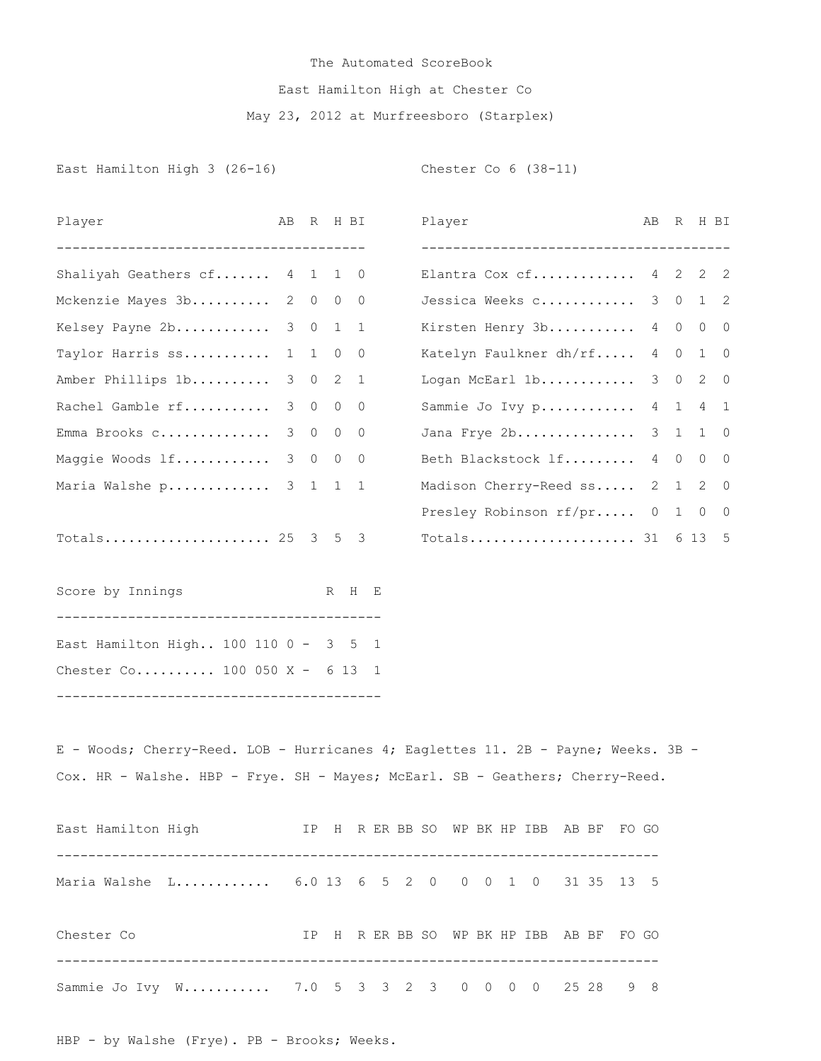## The Automated ScoreBook East Hamilton High at Chester Co May 23, 2012 at Murfreesboro (Starplex)

East Hamilton High 3 (26-16) Chester Co 6 (38-11)

| Player                                                                                                                                                             | AB R        |         | H BI           |  | Player |  |  |                                            | AB | R           |         | H BI        |
|--------------------------------------------------------------------------------------------------------------------------------------------------------------------|-------------|---------|----------------|--|--------|--|--|--------------------------------------------|----|-------------|---------|-------------|
| -----------------------------------<br>Shaliyah Geathers cf 4 1 1 0                                                                                                |             |         |                |  |        |  |  | Elantra Cox cf $4 \quad 2 \quad 2 \quad 2$ |    |             |         |             |
| Mckenzie Mayes 3b 2 0 0 0                                                                                                                                          |             |         |                |  |        |  |  | Jessica Weeks c 3 0 1 2                    |    |             |         |             |
| Kelsey Payne 2b 3 0 1 1                                                                                                                                            |             |         |                |  |        |  |  | Kirsten Henry 3b 4 0 0 0                   |    |             |         |             |
| Taylor Harris ss 1 1                                                                                                                                               |             | $\circ$ | $\circ$        |  |        |  |  | Katelyn Faulkner dh/rf 4 0                 |    |             |         | $1 \quad 0$ |
| Amber Phillips 1b 3 0                                                                                                                                              |             |         | $2 \quad 1$    |  |        |  |  | Logan McEarl 1b                            |    |             | 3 0 2 0 |             |
| Rachel Gamble rf                                                                                                                                                   | $3 \quad 0$ | $\circ$ | $\mathbf 0$    |  |        |  |  | Sammie Jo Ivy p                            |    |             | 4 1 4 1 |             |
| Emma Brooks c 3 0                                                                                                                                                  |             | $\circ$ | $\overline{0}$ |  |        |  |  | Jana Frye 2b                               |    | $3 \quad 1$ |         | $1 \quad 0$ |
| Maggie Woods lf 3 0                                                                                                                                                |             | $\circ$ | 0              |  |        |  |  | Beth Blackstock If                         |    |             | 4 0 0   | 0           |
| Maria Walshe p 3 1 1                                                                                                                                               |             |         | 1              |  |        |  |  | Madison Cherry-Reed ss                     |    | 2 1         | 2       | 0           |
|                                                                                                                                                                    |             |         |                |  |        |  |  | Presley Robinson rf/pr 0 1 0 0             |    |             |         |             |
| Totals 25 3 5 3                                                                                                                                                    |             |         |                |  |        |  |  | Totals 31 6 13 5                           |    |             |         |             |
| Score by Innings                                                                                                                                                   |             |         | R H E          |  |        |  |  |                                            |    |             |         |             |
| East Hamilton High 100 110 0 - 3 5 1                                                                                                                               |             |         |                |  |        |  |  |                                            |    |             |         |             |
| Chester Co 100 050 X - 6 13 1                                                                                                                                      |             |         |                |  |        |  |  |                                            |    |             |         |             |
| E - Woods; Cherry-Reed. LOB - Hurricanes 4; Eaglettes 11. 2B - Payne; Weeks. 3B -<br>Cox. HR - Walshe. HBP - Frye. SH - Mayes; McEarl. SB - Geathers; Cherry-Reed. |             |         |                |  |        |  |  |                                            |    |             |         |             |
| East Hamilton High TP H R ER BB SO WP BK HP IBB AB BF FO GO                                                                                                        |             |         |                |  |        |  |  |                                            |    |             |         |             |
| Maria Walshe L 6.0 13 6 5 2 0 0 0 1 0 31 35 13 5                                                                                                                   |             |         |                |  |        |  |  |                                            |    |             |         |             |
| Chester Co                                                                                                                                                         |             |         |                |  |        |  |  | IP H R ER BB SO WP BK HP IBB AB BF FO GO   |    |             |         |             |
| Sammie Jo Ivy W 7.0 5 3 3 2 3 0 0 0 0 25 28 9 8                                                                                                                    |             |         |                |  |        |  |  |                                            |    |             |         |             |

HBP - by Walshe (Frye). PB - Brooks; Weeks.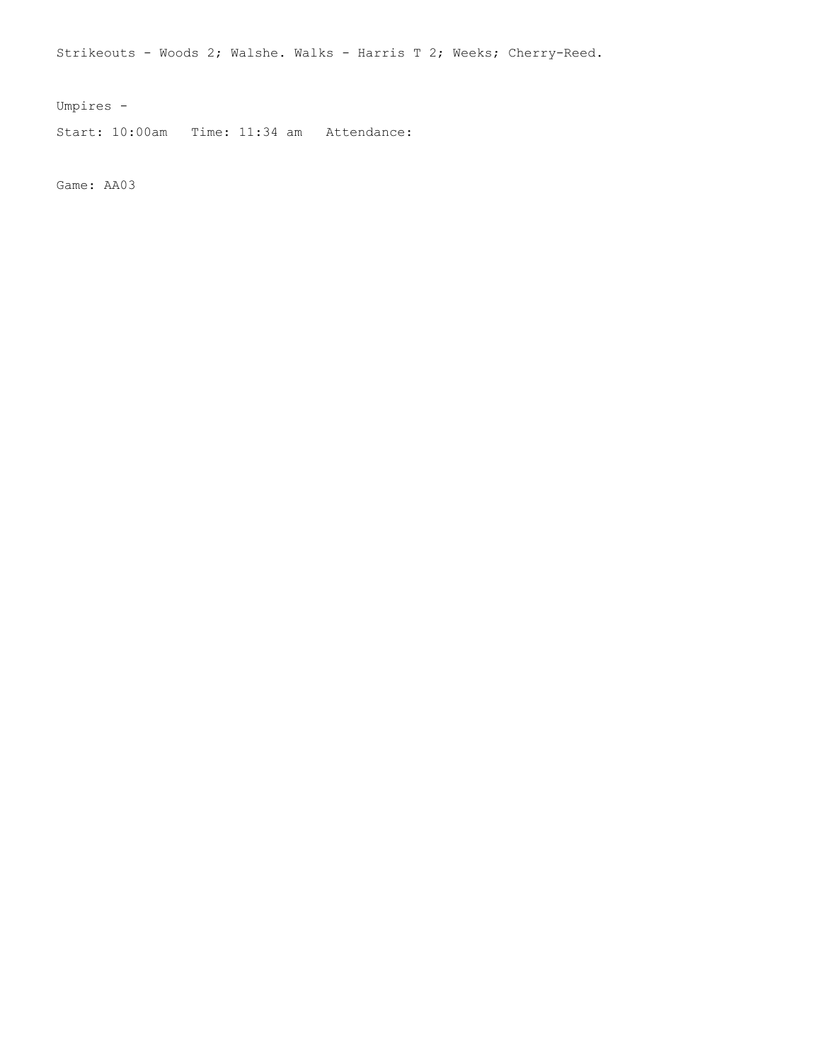Strikeouts - Woods 2; Walshe. Walks - Harris T 2; Weeks; Cherry-Reed.

Umpires -

Start: 10:00am Time: 11:34 am Attendance:

Game: AA03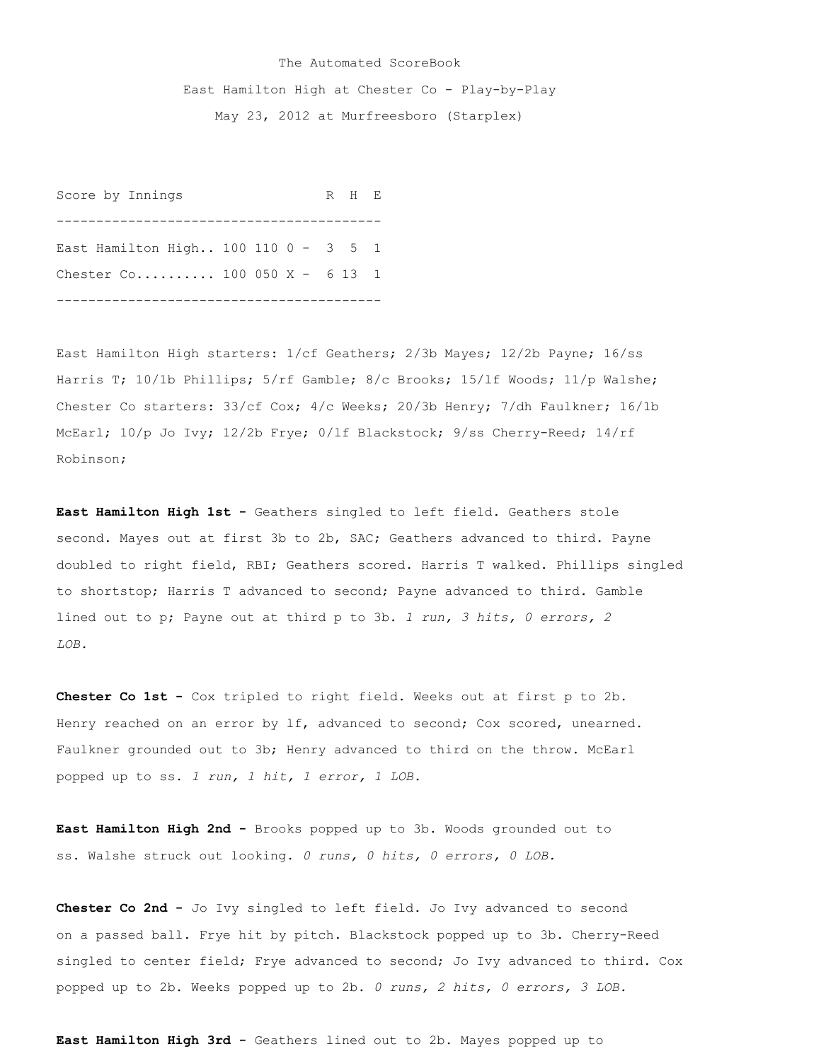## The Automated ScoreBook East Hamilton High at Chester Co - Play-by-Play May 23, 2012 at Murfreesboro (Starplex)

Score by Innings R H E ----------------------------------------- East Hamilton High.. 100 110 0 - 3 5 1 Chester Co.......... 100 050 X - 6 13 1 -----------------------------------------

East Hamilton High starters: 1/cf Geathers; 2/3b Mayes; 12/2b Payne; 16/ss Harris T; 10/1b Phillips; 5/rf Gamble; 8/c Brooks; 15/lf Woods; 11/p Walshe; Chester Co starters: 33/cf Cox; 4/c Weeks; 20/3b Henry; 7/dh Faulkner; 16/1b McEarl; 10/p Jo Ivy; 12/2b Frye; 0/lf Blackstock; 9/ss Cherry-Reed; 14/rf Robinson;

**East Hamilton High 1st -** Geathers singled to left field. Geathers stole second. Mayes out at first 3b to 2b, SAC; Geathers advanced to third. Payne doubled to right field, RBI; Geathers scored. Harris T walked. Phillips singled to shortstop; Harris T advanced to second; Payne advanced to third. Gamble lined out to p; Payne out at third p to 3b. *1 run, 3 hits, 0 errors, 2 LOB.*

**Chester Co 1st -** Cox tripled to right field. Weeks out at first p to 2b. Henry reached on an error by lf, advanced to second; Cox scored, unearned. Faulkner grounded out to 3b; Henry advanced to third on the throw. McEarl popped up to ss. *1 run, 1 hit, 1 error, 1 LOB.*

**East Hamilton High 2nd -** Brooks popped up to 3b. Woods grounded out to ss. Walshe struck out looking. *0 runs, 0 hits, 0 errors, 0 LOB.*

**Chester Co 2nd -** Jo Ivy singled to left field. Jo Ivy advanced to second on a passed ball. Frye hit by pitch. Blackstock popped up to 3b. Cherry-Reed singled to center field; Frye advanced to second; Jo Ivy advanced to third. Cox popped up to 2b. Weeks popped up to 2b. *0 runs, 2 hits, 0 errors, 3 LOB.*

**East Hamilton High 3rd -** Geathers lined out to 2b. Mayes popped up to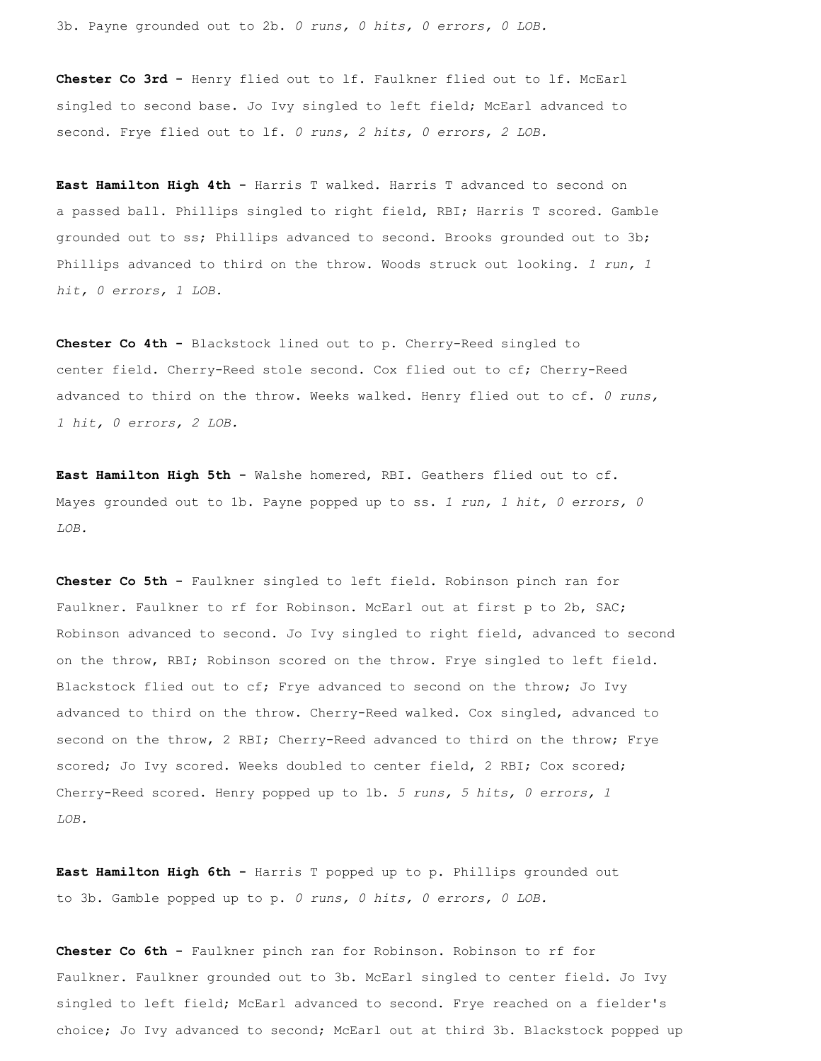3b. Payne grounded out to 2b. *0 runs, 0 hits, 0 errors, 0 LOB.*

**Chester Co 3rd -** Henry flied out to lf. Faulkner flied out to lf. McEarl singled to second base. Jo Ivy singled to left field; McEarl advanced to second. Frye flied out to lf. *0 runs, 2 hits, 0 errors, 2 LOB.*

**East Hamilton High 4th -** Harris T walked. Harris T advanced to second on a passed ball. Phillips singled to right field, RBI; Harris T scored. Gamble grounded out to ss; Phillips advanced to second. Brooks grounded out to 3b; Phillips advanced to third on the throw. Woods struck out looking. *1 run, 1 hit, 0 errors, 1 LOB.*

**Chester Co 4th -** Blackstock lined out to p. Cherry-Reed singled to center field. Cherry-Reed stole second. Cox flied out to cf; Cherry-Reed advanced to third on the throw. Weeks walked. Henry flied out to cf. *0 runs, 1 hit, 0 errors, 2 LOB.*

**East Hamilton High 5th -** Walshe homered, RBI. Geathers flied out to cf. Mayes grounded out to 1b. Payne popped up to ss. *1 run, 1 hit, 0 errors, 0 LOB.*

**Chester Co 5th -** Faulkner singled to left field. Robinson pinch ran for Faulkner. Faulkner to rf for Robinson. McEarl out at first p to 2b, SAC; Robinson advanced to second. Jo Ivy singled to right field, advanced to second on the throw, RBI; Robinson scored on the throw. Frye singled to left field. Blackstock flied out to cf; Frye advanced to second on the throw; Jo Ivy advanced to third on the throw. Cherry-Reed walked. Cox singled, advanced to second on the throw, 2 RBI; Cherry-Reed advanced to third on the throw; Frye scored; Jo Ivy scored. Weeks doubled to center field, 2 RBI; Cox scored; Cherry-Reed scored. Henry popped up to 1b. *5 runs, 5 hits, 0 errors, 1 LOB.*

**East Hamilton High 6th -** Harris T popped up to p. Phillips grounded out to 3b. Gamble popped up to p. *0 runs, 0 hits, 0 errors, 0 LOB.*

**Chester Co 6th -** Faulkner pinch ran for Robinson. Robinson to rf for Faulkner. Faulkner grounded out to 3b. McEarl singled to center field. Jo Ivy singled to left field; McEarl advanced to second. Frye reached on a fielder's choice; Jo Ivy advanced to second; McEarl out at third 3b. Blackstock popped up